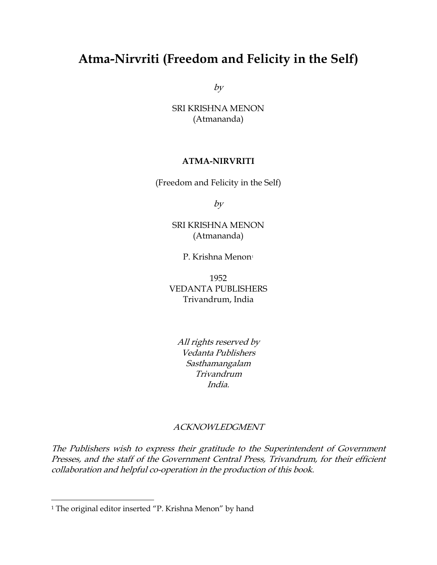# **Atma-Nirvriti (Freedom and Felicity in the Self)**

by

SRI KRISHNA MENON (Atmananda)

#### **ATMA-NIRVRITI**

(Freedom and Felicity in the Self)

by

SRI KRISHNA MENON (Atmananda)

P. Krishna Menon<sup>[1](#page-0-0)</sup>

1952 VEDANTA PUBLISHERS Trivandrum, India

All rights reserved by Vedanta Publishers Sasthamangalam Trivandrum India.

#### ACKNOWLEDGMENT

The Publishers wish to express their gratitude to the Superintendent of Government Presses, and the staff of the Government Central Press, Trivandrum, for their efficient collaboration and helpful co-operation in the production of this book.

<span id="page-0-0"></span><sup>&</sup>lt;sup>1</sup> The original editor inserted "P. Krishna Menon" by hand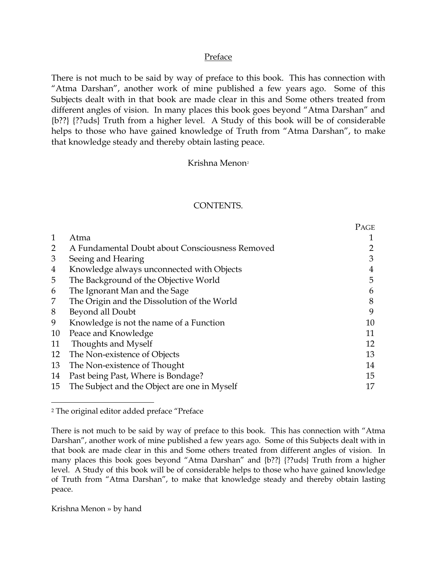#### Preface

There is not much to be said by way of preface to this book. This has connection with "Atma Darshan", another work of mine published a few years ago. Some of this Subjects dealt with in that book are made clear in this and Some others treated from different angles of vision. In many places this book goes beyond "Atma Darshan" and {b??} {??uds} Truth from a higher level. A Study of this book will be of considerable helps to those who have gained knowledge of Truth from "Atma Darshan", to make that knowledge steady and thereby obtain lasting peace.

#### Krishna Menon<sup>[2](#page-1-0)</sup>

#### CONTENTS.

 $D \wedge C E$ 

|              |                                                 | T AQE |
|--------------|-------------------------------------------------|-------|
| $\mathbf{1}$ | Atma                                            |       |
| 2            | A Fundamental Doubt about Consciousness Removed |       |
| 3            | Seeing and Hearing                              | 3     |
| 4            | Knowledge always unconnected with Objects       | 4     |
| 5            | The Background of the Objective World           | 5     |
| 6            | The Ignorant Man and the Sage                   | 6     |
| 7            | The Origin and the Dissolution of the World     | 8     |
| 8            | Beyond all Doubt                                | 9     |
| 9            | Knowledge is not the name of a Function         | 10    |
| 10           | Peace and Knowledge                             | 11    |
| 11           | Thoughts and Myself                             | 12    |
| 12           | The Non-existence of Objects                    | 13    |
| 13           | The Non-existence of Thought                    | 14    |
| 14           | Past being Past, Where is Bondage?              | 15    |
| 15           | The Subject and the Object are one in Myself    | 17    |
|              |                                                 |       |

<span id="page-1-0"></span><sup>2</sup> The original editor added preface "Preface

Krishna Menon » by hand

There is not much to be said by way of preface to this book. This has connection with "Atma Darshan", another work of mine published a few years ago. Some of this Subjects dealt with in that book are made clear in this and Some others treated from different angles of vision. In many places this book goes beyond "Atma Darshan" and {b??} {??uds} Truth from a higher level. A Study of this book will be of considerable helps to those who have gained knowledge of Truth from "Atma Darshan", to make that knowledge steady and thereby obtain lasting peace.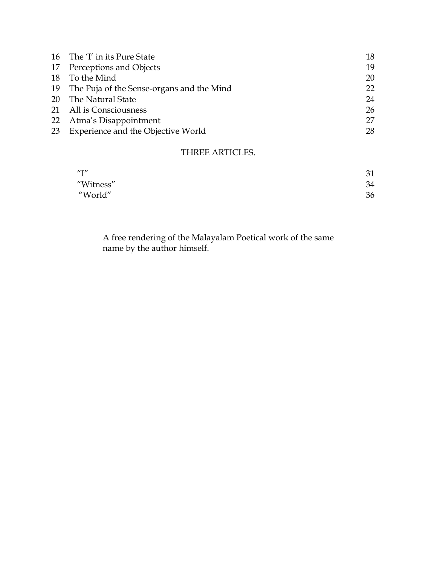| 16 The 'I' in its Pure State                 | 18 |
|----------------------------------------------|----|
| 17 Perceptions and Objects                   | 19 |
| 18 To the Mind                               | 20 |
| 19 The Puja of the Sense-organs and the Mind | 22 |
| 20 The Natural State                         | 24 |
| 21 All is Consciousness                      | 26 |
| 22 Atma's Disappointment                     | 27 |
| 23 Experience and the Objective World        | 28 |

# THREE ARTICLES.

| $^{\prime\prime}$ T $^{\prime\prime}$ | 21 |
|---------------------------------------|----|
| "Witness"                             | 34 |
| "World"                               | 36 |

A free rendering of the Malayalam Poetical work of the same name by the author himself.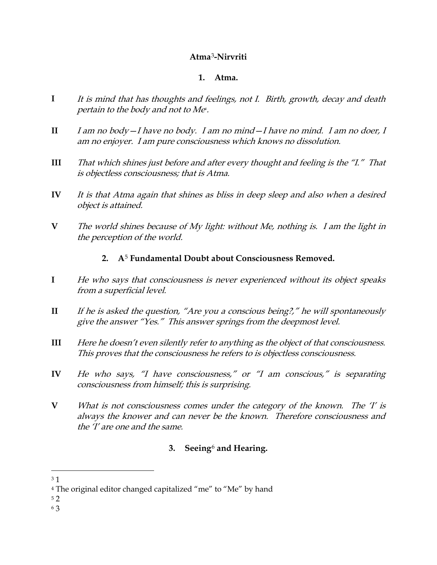## **Atma**[3](#page-3-0)**-Nirvriti**

## **1. Atma.**

- **I** It is mind that has thoughts and feelings, not I. Birth, growth, decay and death pertain to the body and not to Me<sup>s</sup>.
- **II** I am no body—I have no body. I am no mind—I have no mind. I am no doer, I am no enjoyer. I am pure consciousness which knows no dissolution.
- **III** That which shines just before and after every thought and feeling is the "I." That is objectless consciousness; that is Atma.
- **IV** It is that Atma again that shines as bliss in deep sleep and also when a desired object is attained.
- **V** The world shines because of My light: without Me, nothing is. I am the light in the perception of the world.

# **2. A**[5](#page-3-2) **Fundamental Doubt about Consciousness Removed.**

- **I** He who says that consciousness is never experienced without its object speaks from a superficial level.
- **II** If he is asked the question, "Are you a conscious being?," he will spontaneously give the answer "Yes." This answer springs from the deepmost level.
- **III** Here he doesn't even silently refer to anything as the object of that consciousness. This proves that the consciousness he refers to is objectless consciousness.
- **IV** He who says, "I have consciousness," or "I am conscious," is separating consciousness from himself; this is surprising.
- **V** What is not consciousness comes under the category of the known. The 'I' is always the knower and can never be the known. Therefore consciousness and the 'I' are one and the same.

# **3. Seeing**[6](#page-3-3) **and Hearing.**

<span id="page-3-0"></span><sup>3</sup> 1

<span id="page-3-1"></span><sup>4</sup> The original editor changed capitalized "me" to "Me" by hand

<span id="page-3-2"></span><sup>5</sup> 2

<span id="page-3-3"></span><sup>6</sup> 3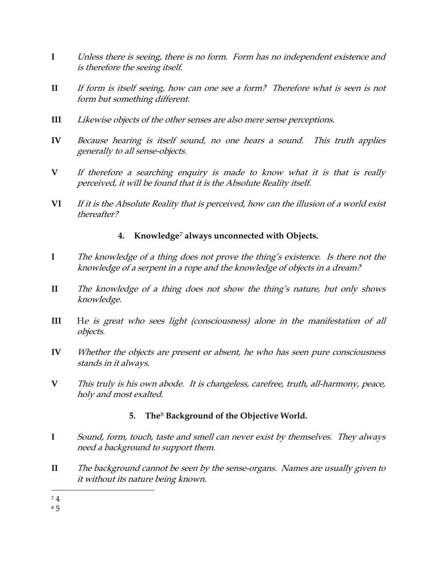- **I** Unless there is seeing, there is no form. Form has no independent existence and is therefore the seeing itself.
- **II** If form is itself seeing, how can one see a form? Therefore what is seen is not form but something different.
- **III** Likewise objects of the other senses are also mere sense perceptions.
- **IV** Because hearing is itself sound, no one hears a sound. This truth applies generally to all sense-objects.
- **V** If therefore a searching enquiry is made to know what it is that is really perceived, it will be found that it is the Absolute Reality itself.
- **VI** If it is the Absolute Reality that is perceived, how can the illusion of a world exist thereafter?

# **4. Knowledge**[7](#page-4-0) **always unconnected with Objects.**

- **I** The knowledge of a thing does not prove the thing's existence. Is there not the knowledge of a serpent in a rope and the knowledge of objects in a dream?
- **II** The knowledge of a thing does not show the thing's nature, but only shows knowledge.
- **III** He is great who sees light (consciousness) alone in the manifestation of all objects.
- **IV** Whether the objects are present or absent, he who has seen pure consciousness stands in it always.
- **V** This truly is his own abode. It is changeless, carefree, truth, all-harmony, peace, holy and most exalted.

# **5. The**[8](#page-4-1) **Background of the Objective World.**

- **I** Sound, form, touch, taste and smell can never exist by themselves. They always need a background to support them.
- **II** The background cannot be seen by the sense-organs. Names are usually given to it without its nature being known.
- <span id="page-4-0"></span><sup>7</sup> 4

<span id="page-4-1"></span><sup>8</sup> 5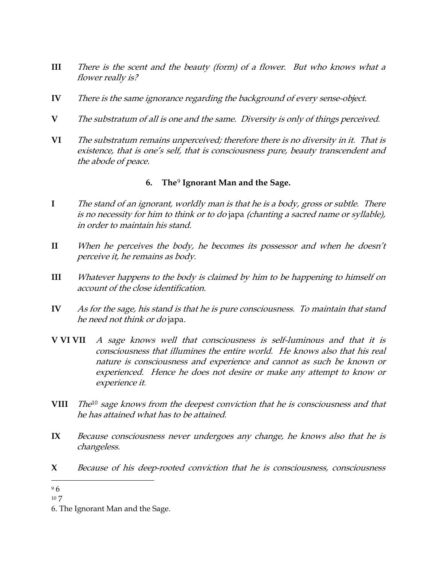- **III** There is the scent and the beauty (form) of a flower. But who knows what a flower really is?
- **IV** There is the same ignorance regarding the background of every sense-object.
- **V** The substratum of all is one and the same. Diversity is only of things perceived.
- **VI** The substratum remains unperceived; therefore there is no diversity in it. That is existence, that is one's self, that is consciousness pure, beauty transcendent and the abode of peace.

## **6. The**[9](#page-5-0) **Ignorant Man and the Sage.**

- **I** The stand of an ignorant, worldly man is that he is a body, gross or subtle. There is no necessity for him to think or to do japa (chanting a sacred name or syllable), in order to maintain his stand.
- **II** When he perceives the body, he becomes its possessor and when he doesn't perceive it, he remains as body.
- **III** Whatever happens to the body is claimed by him to be happening to himself on account of the close identification.
- **IV** As for the sage, his stand is that he is pure consciousness. To maintain that stand he need not think or do japa.
- **V VI VII** A sage knows well that consciousness is self-luminous and that it is consciousness that illumines the entire world. He knows also that his real nature is consciousness and experience and cannot as such be known or experienced. Hence he does not desire or make any attempt to know or experience it.
- **VIII** The[10](#page-5-1) sage knows from the deepest conviction that he is consciousness and that he has attained what has to be attained.
- **IX** Because consciousness never undergoes any change, he knows also that he is changeless.
- **X** Because of his deep-rooted conviction that he is consciousness, consciousness

<span id="page-5-0"></span><sup>9</sup> 6

<span id="page-5-1"></span><sup>10</sup> 7

<sup>6.</sup> The Ignorant Man and the Sage.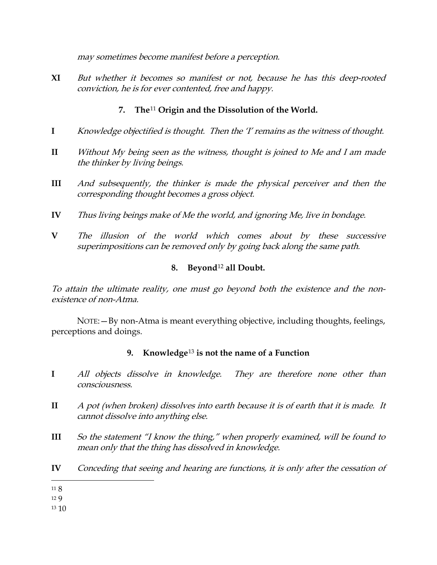may sometimes become manifest before a perception.

**XI** But whether it becomes so manifest or not, because he has this deep-rooted conviction, he is for ever contented, free and happy.

# **7. The**[11](#page-6-0) **Origin and the Dissolution of the World.**

- **I** Knowledge objectified is thought. Then the 'I' remains as the witness of thought.
- **II** Without My being seen as the witness, thought is joined to Me and I am made the thinker by living beings.
- **III** And subsequently, the thinker is made the physical perceiver and then the corresponding thought becomes a gross object.
- **IV** Thus living beings make of Me the world, and ignoring Me, live in bondage.
- **V** The illusion of the world which comes about by these successive superimpositions can be removed only by going back along the same path.

## **8. Beyond**[12](#page-6-1) **all Doubt.**

To attain the ultimate reality, one must go beyond both the existence and the nonexistence of non-Atma.

NOTE:—By non-Atma is meant everything objective, including thoughts, feelings, perceptions and doings.

# **9. Knowledge**[13](#page-6-2) **is not the name of a Function**

- **I** All objects dissolve in knowledge. They are therefore none other than consciousness.
- **II** A pot (when broken) dissolves into earth because it is of earth that it is made. It cannot dissolve into anything else.
- **III** So the statement "I know the thing," when properly examined, will be found to mean only that the thing has dissolved in knowledge.
- **IV** Conceding that seeing and hearing are functions, it is only after the cessation of
- <span id="page-6-0"></span><sup>11</sup> 8
- <span id="page-6-1"></span><sup>12</sup> 9

<span id="page-6-2"></span> $13 \; 10$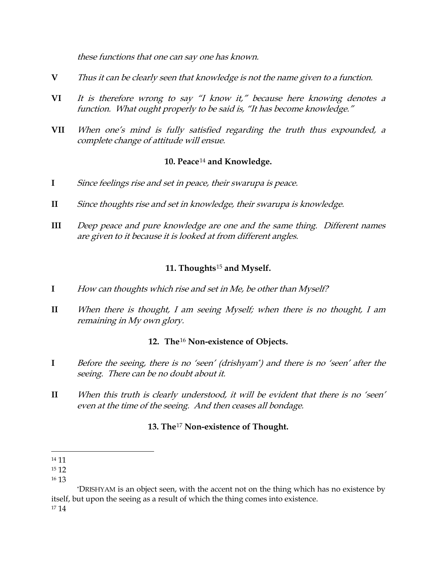these functions that one can say one has known.

- **V** Thus it can be clearly seen that knowledge is not the name given to a function.
- **VI** It is therefore wrong to say "I know it," because here knowing denotes a function. What ought properly to be said is, "It has become knowledge."
- **VII** When one's mind is fully satisfied regarding the truth thus expounded, a complete change of attitude will ensue.

#### **10. Peace**[14](#page-7-0) **and Knowledge.**

- **I** Since feelings rise and set in peace, their swarupa is peace.
- **II** Since thoughts rise and set in knowledge, their swarupa is knowledge.
- **III** Deep peace and pure knowledge are one and the same thing. Different names are given to it because it is looked at from different angles.

# **11. Thoughts**[15](#page-7-1) **and Myself.**

- **I** How can thoughts which rise and set in Me, be other than Myself?
- **II** When there is thought, I am seeing Myself; when there is no thought, I am remaining in My own glory.

# **12. The**[16](#page-7-2) **Non-existence of Objects.**

- **I** Before the seeing, there is no 'seen' (drishyam[\\*\)](#page-7-3) and there is no 'seen' after the seeing. There can be no doubt about it.
- **II** When this truth is clearly understood, it will be evident that there is no 'seen' even at the time of the seeing. And then ceases all bondage.

#### **13. The**[17](#page-7-4) **Non-existence of Thought.**

<span id="page-7-0"></span><sup>14</sup> 11

<span id="page-7-1"></span><sup>15</sup> 12

<span id="page-7-2"></span><sup>16</sup> 13

<span id="page-7-3"></span><sup>\*</sup>DRISHYAM is an object seen, with the accent not on the thing which has no existence by itself, but upon the seeing as a result of which the thing comes into existence.

<span id="page-7-4"></span><sup>17</sup> 14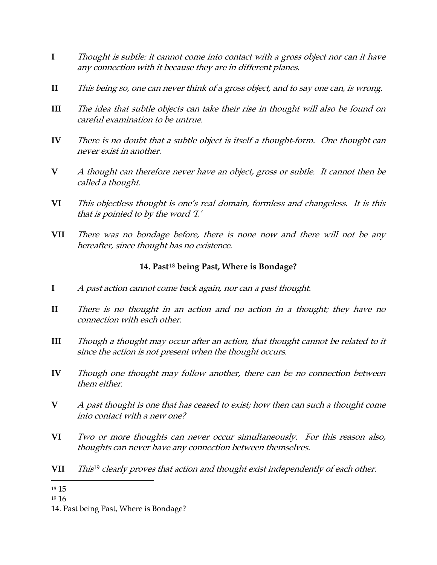- **I** Thought is subtle: it cannot come into contact with a gross object nor can it have any connection with it because they are in different planes.
- **II** This being so, one can never think of a gross object, and to say one can, is wrong.
- **III** The idea that subtle objects can take their rise in thought will also be found on careful examination to be untrue.
- **IV** There is no doubt that a subtle object is itself a thought-form. One thought can never exist in another.
- **V** A thought can therefore never have an object, gross or subtle. It cannot then be called a thought.
- **VI** This objectless thought is one's real domain, formless and changeless. It is this that is pointed to by the word 'I.'
- **VII** There was no bondage before, there is none now and there will not be any hereafter, since thought has no existence.

# **14. Past**[18](#page-8-0) **being Past, Where is Bondage?**

- **I** A past action cannot come back again, nor can a past thought.
- **II** There is no thought in an action and no action in a thought; they have no connection with each other.
- **III** Though a thought may occur after an action, that thought cannot be related to it since the action is not present when the thought occurs.
- **IV** Though one thought may follow another, there can be no connection between them either.
- **V** A past thought is one that has ceased to exist; how then can such a thought come into contact with a new one?
- **VI** Two or more thoughts can never occur simultaneously. For this reason also, thoughts can never have any connection between themselves.
- **VII** This[19](#page-8-1) clearly proves that action and thought exist independently of each other.

<span id="page-8-0"></span><sup>18</sup> 15

<span id="page-8-1"></span><sup>19</sup> 16

<sup>14.</sup> Past being Past, Where is Bondage?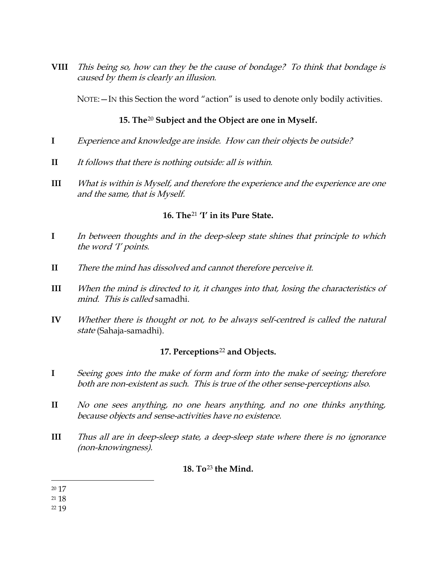**VIII** This being so, how can they be the cause of bondage? To think that bondage is caused by them is clearly an illusion.

NOTE:—IN this Section the word "action" is used to denote only bodily activities.

#### **15. The**[20](#page-9-0) **Subject and the Object are one in Myself.**

- **I** Experience and knowledge are inside. How can their objects be outside?
- **II** It follows that there is nothing outside: all is within.
- **III** What is within is Myself, and therefore the experience and the experience are one and the same, that is Myself.

#### **16. The**[21](#page-9-1) **'I' in its Pure State.**

- **I** In between thoughts and in the deep-sleep state shines that principle to which the word 'I' points.
- **II** There the mind has dissolved and cannot therefore perceive it.
- **III** When the mind is directed to it, it changes into that, losing the characteristics of mind. This is called samadhi.
- **IV** Whether there is thought or not, to be always self-centred is called the natural state (Sahaja-samadhi).

#### **17. Perceptions**[22](#page-9-2) **and Objects.**

- **I** Seeing goes into the make of form and form into the make of seeing; therefore both are non-existent as such. This is true of the other sense-perceptions also.
- **II** No one sees anything, no one hears anything, and no one thinks anything, because objects and sense-activities have no existence.
- **III** Thus all are in deep-sleep state, a deep-sleep state where there is no ignorance (non-knowingness).

#### **18. To**[23](#page-9-3) **the Mind.**

- <span id="page-9-3"></span><span id="page-9-0"></span><sup>20</sup> 17
- <span id="page-9-1"></span><sup>21</sup> 18
- <span id="page-9-2"></span><sup>22</sup> 19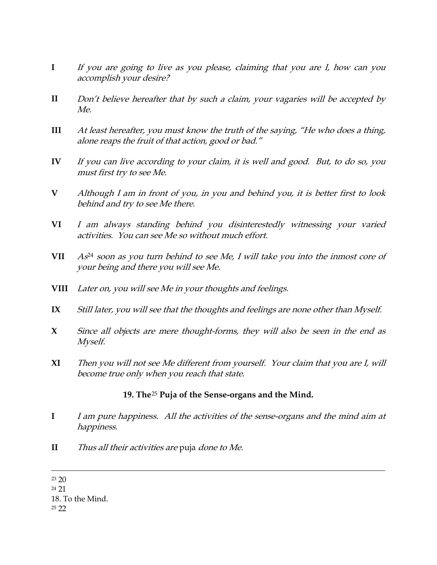- **I** If you are going to live as you please, claiming that you are I, how can you accomplish your desire?
- **II** Don't believe hereafter that by such a claim, your vagaries will be accepted by Me.
- **III** At least hereafter, you must know the truth of the saying, "He who does a thing, alone reaps the fruit of that action, good or bad."
- **IV** If you can live according to your claim, it is well and good. But, to do so, you must first try to see Me.
- **V** Although I am in front of you, in you and behind you, it is better first to look behind and try to see Me there.
- **VI** I am always standing behind you disinterestedly witnessing your varied activities. You can see Me so without much effort.
- **VII** As[24](#page-10-0) soon as you turn behind to see Me, I will take you into the inmost core of your being and there you will see Me.
- **VIII** Later on, you will see Me in your thoughts and feelings.
- **IX** Still later, you will see that the thoughts and feelings are none other than Myself.
- **X** Since all objects are mere thought-forms, they will also be seen in the end as Myself.
- **XI** Then you will not see Me different from yourself. Your claim that you are I, will become true only when you reach that state.

#### **19. The**[25](#page-10-1) **Puja of the Sense-organs and the Mind.**

- **I** I am pure happiness. All the activities of the sense-organs and the mind aim at happiness.
- **II** Thus all their activities are puja done to Me.

<span id="page-10-1"></span>18. To the Mind. <sup>25</sup> 22

<span id="page-10-0"></span><sup>24</sup> 21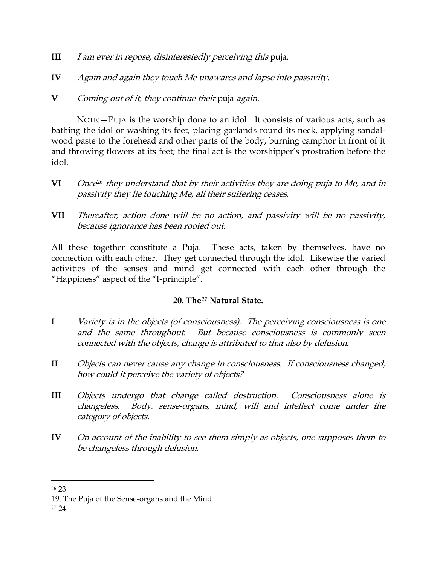- **III** I am ever in repose, disinterestedly perceiving this puja.
- **IV** Again and again they touch Me unawares and lapse into passivity.
- **V** Coming out of it, they continue their puja again.

NOTE:—PUJA is the worship done to an idol. It consists of various acts, such as bathing the idol or washing its feet, placing garlands round its neck, applying sandalwood paste to the forehead and other parts of the body, burning camphor in front of it and throwing flowers at its feet; the final act is the worshipper's prostration before the idol.

- **VI** Once[26](#page-11-0) they understand that by their activities they are doing puja to Me, and in passivity they lie touching Me, all their suffering ceases.
- **VII** Thereafter, action done will be no action, and passivity will be no passivity, because ignorance has been rooted out.

All these together constitute a Puja. These acts, taken by themselves, have no connection with each other. They get connected through the idol. Likewise the varied activities of the senses and mind get connected with each other through the "Happiness" aspect of the "I-principle".

# **20. The**[27](#page-11-1) **Natural State.**

- **I** Variety is in the objects (of consciousness). The perceiving consciousness is one and the same throughout. But because consciousness is commonly seen connected with the objects, change is attributed to that also by delusion.
- **II** Objects can never cause any change in consciousness. If consciousness changed, how could it perceive the variety of objects?
- **III** Objects undergo that change called destruction. Consciousness alone is changeless. Body, sense-organs, mind, will and intellect come under the category of objects.
- **IV** On account of the inability to see them simply as objects, one supposes them to be changeless through delusion.

<span id="page-11-0"></span><sup>26</sup> 23

<span id="page-11-1"></span><sup>19.</sup> The Puja of the Sense-organs and the Mind.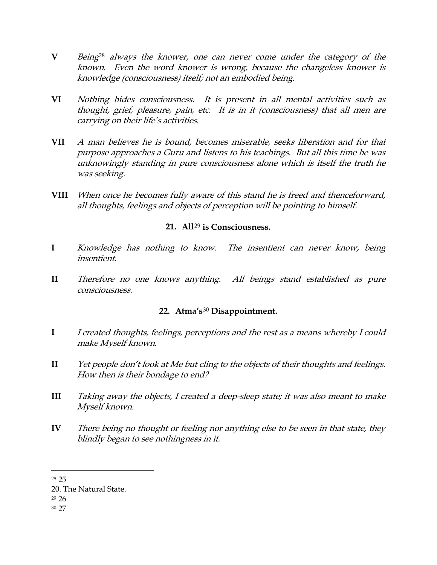- **V** Being[28](#page-12-0) always the knower, one can never come under the category of the known. Even the word knower is wrong, because the changeless knower is knowledge (consciousness) itself; not an embodied being.
- **VI** Nothing hides consciousness. It is present in all mental activities such as thought, grief, pleasure, pain, etc. It is in it (consciousness) that all men are carrying on their life's activities.
- **VII** A man believes he is bound, becomes miserable, seeks liberation and for that purpose approaches a Guru and listens to his teachings. But all this time he was unknowingly standing in pure consciousness alone which is itself the truth he was seeking.
- **VIII** When once he becomes fully aware of this stand he is freed and thenceforward, all thoughts, feelings and objects of perception will be pointing to himself.

#### **21. All**[29](#page-12-1) **is Consciousness.**

- **I** Knowledge has nothing to know. The insentient can never know, being insentient.
- **II** Therefore no one knows anything. All beings stand established as pure consciousness.

#### **22. Atma's**[30](#page-12-2) **Disappointment.**

- **I** I created thoughts, feelings, perceptions and the rest as a means whereby I could make Myself known.
- **II** Yet people don't look at Me but cling to the objects of their thoughts and feelings. How then is their bondage to end?
- **III** Taking away the objects, I created a deep-sleep state; it was also meant to make Myself known.
- **IV** There being no thought or feeling nor anything else to be seen in that state, they blindly began to see nothingness in it.

<span id="page-12-0"></span><sup>28</sup> 25

<sup>20.</sup> The Natural State.

<span id="page-12-1"></span><sup>29</sup> 26

<span id="page-12-2"></span><sup>30</sup> 27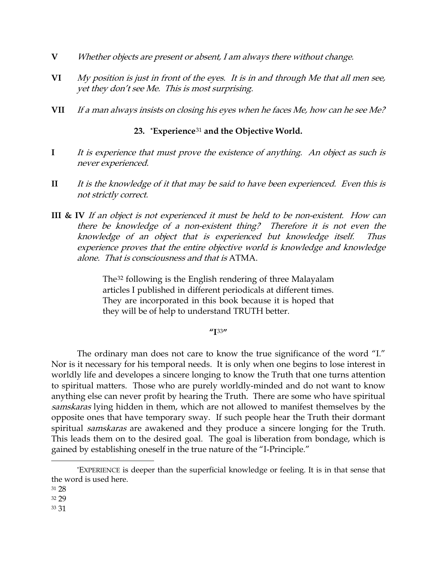- **V** Whether objects are present or absent, I am always there without change.
- **VI** My position is just in front of the eyes. It is in and through Me that all men see, yet they don't see Me. This is most surprising.
- **VII** If a man always insists on closing his eyes when he faces Me, how can he see Me?

#### **23. [\\*](#page-13-0)Experience**[31](#page-13-1) **and the Objective World.**

- **I** It is experience that must prove the existence of anything. An object as such is never experienced.
- **II** It is the knowledge of it that may be said to have been experienced. Even this is not strictly correct.
- **III & IV** If an object is not experienced it must be held to be non-existent. How can there be knowledge of a non-existent thing? Therefore it is not even the knowledge of an object that is experienced but knowledge itself. Thus experience proves that the entire objective world is knowledge and knowledge alone. That is consciousness and that is ATMA.

The[32](#page-13-2) following is the English rendering of three Malayalam articles I published in different periodicals at different times. They are incorporated in this book because it is hoped that they will be of help to understand TRUTH better.

**"I**[33](#page-13-3)**"**

The ordinary man does not care to know the true significance of the word "I." Nor is it necessary for his temporal needs. It is only when one begins to lose interest in worldly life and developes a sincere longing to know the Truth that one turns attention to spiritual matters. Those who are purely worldly-minded and do not want to know anything else can never profit by hearing the Truth. There are some who have spiritual samskaras lying hidden in them, which are not allowed to manifest themselves by the opposite ones that have temporary sway. If such people hear the Truth their dormant spiritual samskaras are awakened and they produce a sincere longing for the Truth. This leads them on to the desired goal. The goal is liberation from bondage, which is gained by establishing oneself in the true nature of the "I-Principle."

<span id="page-13-0"></span><sup>\*</sup>EXPERIENCE is deeper than the superficial knowledge or feeling. It is in that sense that the word is used here.

<span id="page-13-1"></span><sup>31</sup> 28

<span id="page-13-2"></span><sup>32</sup> 29

<span id="page-13-3"></span><sup>33</sup> 31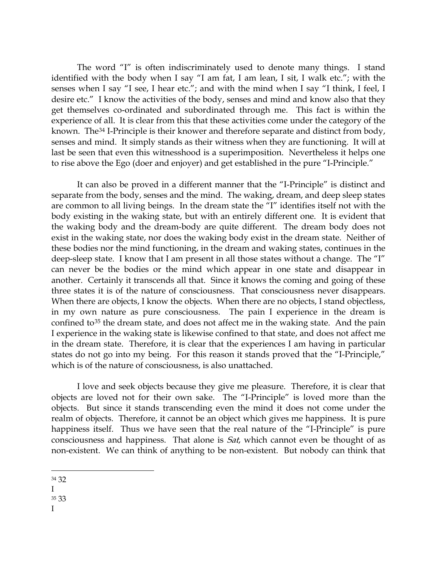The word "I" is often indiscriminately used to denote many things. I stand identified with the body when I say "I am fat, I am lean, I sit, I walk etc."; with the senses when I say "I see, I hear etc."; and with the mind when I say "I think, I feel, I desire etc." I know the activities of the body, senses and mind and know also that they get themselves co-ordinated and subordinated through me. This fact is within the experience of all. It is clear from this that these activities come under the category of the known. The<sup>[34](#page-14-0)</sup> I-Principle is their knower and therefore separate and distinct from body, senses and mind. It simply stands as their witness when they are functioning. It will at last be seen that even this witnesshood is a superimposition. Nevertheless it helps one to rise above the Ego (doer and enjoyer) and get established in the pure "I-Principle."

It can also be proved in a different manner that the "I-Principle" is distinct and separate from the body, senses and the mind. The waking, dream, and deep sleep states are common to all living beings. In the dream state the "I" identifies itself not with the body existing in the waking state, but with an entirely different one. It is evident that the waking body and the dream-body are quite different. The dream body does not exist in the waking state, nor does the waking body exist in the dream state. Neither of these bodies nor the mind functioning, in the dream and waking states, continues in the deep-sleep state. I know that I am present in all those states without a change. The "I" can never be the bodies or the mind which appear in one state and disappear in another. Certainly it transcends all that. Since it knows the coming and going of these three states it is of the nature of consciousness. That consciousness never disappears. When there are objects, I know the objects. When there are no objects, I stand objectless, in my own nature as pure consciousness. The pain I experience in the dream is confined to<sup>[35](#page-14-1)</sup> the dream state, and does not affect me in the waking state. And the pain I experience in the waking state is likewise confined to that state, and does not affect me in the dream state. Therefore, it is clear that the experiences I am having in particular states do not go into my being. For this reason it stands proved that the "I-Principle," which is of the nature of consciousness, is also unattached.

I love and seek objects because they give me pleasure. Therefore, it is clear that objects are loved not for their own sake. The "I-Principle" is loved more than the objects. But since it stands transcending even the mind it does not come under the realm of objects. Therefore, it cannot be an object which gives me happiness. It is pure happiness itself. Thus we have seen that the real nature of the "I-Principle" is pure consciousness and happiness. That alone is Sat, which cannot even be thought of as non-existent. We can think of anything to be non-existent. But nobody can think that

<span id="page-14-1"></span>I

<span id="page-14-0"></span><sup>34</sup> 32

I

<sup>35</sup> 33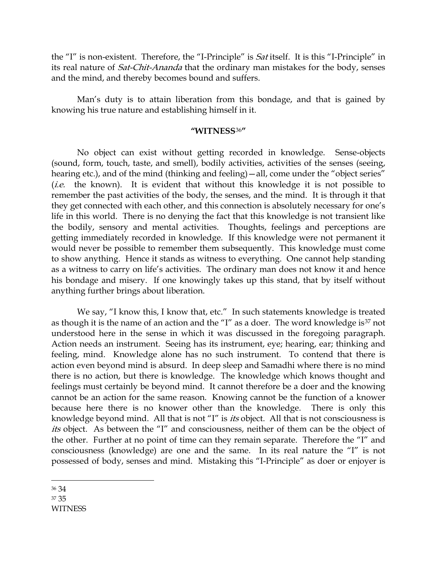the "I" is non-existent. Therefore, the "I-Principle" is *Sat* itself. It is this "I-Principle" in its real nature of *Sat-Chit-Ananda* that the ordinary man mistakes for the body, senses and the mind, and thereby becomes bound and suffers.

Man's duty is to attain liberation from this bondage, and that is gained by knowing his true nature and establishing himself in it.

#### **"WITNESS**[36](#page-15-0)**"**

No object can exist without getting recorded in knowledge. Sense-objects (sound, form, touch, taste, and smell), bodily activities, activities of the senses (seeing, hearing etc.), and of the mind (thinking and feeling) — all, come under the "object series" (i.e. the known). It is evident that without this knowledge it is not possible to remember the past activities of the body, the senses, and the mind. It is through it that they get connected with each other, and this connection is absolutely necessary for one's life in this world. There is no denying the fact that this knowledge is not transient like the bodily, sensory and mental activities. Thoughts, feelings and perceptions are getting immediately recorded in knowledge. If this knowledge were not permanent it would never be possible to remember them subsequently. This knowledge must come to show anything. Hence it stands as witness to everything. One cannot help standing as a witness to carry on life's activities. The ordinary man does not know it and hence his bondage and misery. If one knowingly takes up this stand, that by itself without anything further brings about liberation.

<span id="page-15-1"></span><span id="page-15-0"></span>We say, "I know this, I know that, etc." In such statements knowledge is treated as though it is the name of an action and the "I" as a doer. The word knowledge is<sup>[37](#page-15-1)</sup> not understood here in the sense in which it was discussed in the foregoing paragraph. Action needs an instrument. Seeing has its instrument, eye; hearing, ear; thinking and feeling, mind. Knowledge alone has no such instrument. To contend that there is action even beyond mind is absurd. In deep sleep and Samadhi where there is no mind there is no action, but there is knowledge. The knowledge which knows thought and feelings must certainly be beyond mind. It cannot therefore be a doer and the knowing cannot be an action for the same reason. Knowing cannot be the function of a knower because here there is no knower other than the knowledge. There is only this knowledge beyond mind. All that is not "I" is its object. All that is not consciousness is its object. As between the "I" and consciousness, neither of them can be the object of the other. Further at no point of time can they remain separate. Therefore the "I" and consciousness (knowledge) are one and the same. In its real nature the "I" is not possessed of body, senses and mind. Mistaking this "I-Principle" as doer or enjoyer is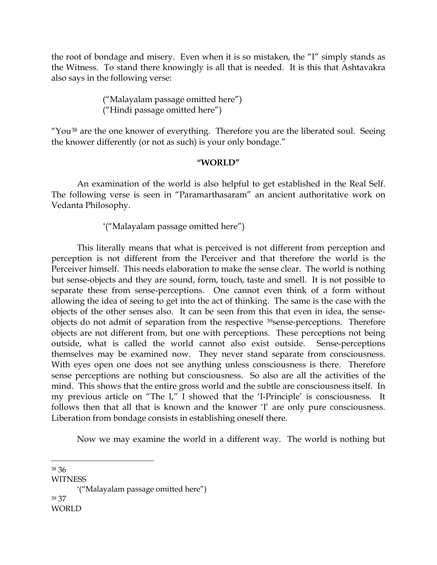the root of bondage and misery. Even when it is so mistaken, the "I" simply stands as the Witness. To stand there knowingly is all that is needed. It is this that Ashtavakra also says in the following verse:

> ("Malayalam passage omitted here") ("Hindi passage omitted here")

"You<sup>[38](#page-16-0)</sup> are the one knower of everything. Therefore you are the liberated soul. Seeing the knower differently (or not as such) is your only bondage."

## **"WORLD"**

An examination of the world is also helpful to get established in the Real Self. The following verse is seen in "Paramarthasaram" an ancient authoritative work on Vedanta Philosophy.

[\\*\(](#page-16-1)"Malayalam passage omitted here")

This literally means that what is perceived is not different from perception and perception is not different from the Perceiver and that therefore the world is the Perceiver himself. This needs elaboration to make the sense clear. The world is nothing but sense-objects and they are sound, form, touch, taste and smell. It is not possible to separate these from sense-perceptions. One cannot even think of a form without allowing the idea of seeing to get into the act of thinking. The same is the case with the objects of the other senses also. It can be seen from this that even in idea, the sense-objects do not admit of separation from the respective <sup>[39](#page-16-2)</sup>sense-perceptions. Therefore objects are not different from, but one with perceptions. These perceptions not being outside, what is called the world cannot also exist outside. Sense-perceptions themselves may be examined now. They never stand separate from consciousness. With eyes open one does not see anything unless consciousness is there. Therefore sense perceptions are nothing but consciousness. So also are all the activities of the mind. This shows that the entire gross world and the subtle are consciousness itself. In my previous article on "The I," I showed that the 'I-Principle' is consciousness. It follows then that all that is known and the knower 'I' are only pure consciousness. Liberation from bondage consists in establishing oneself there.

Now we may examine the world in a different way. The world is nothing but

<span id="page-16-0"></span><sup>38</sup> 36

<span id="page-16-2"></span><span id="page-16-1"></span>**WITNESS** \*("Malayalam passage omitted here") <sup>39</sup> 37 WORLD